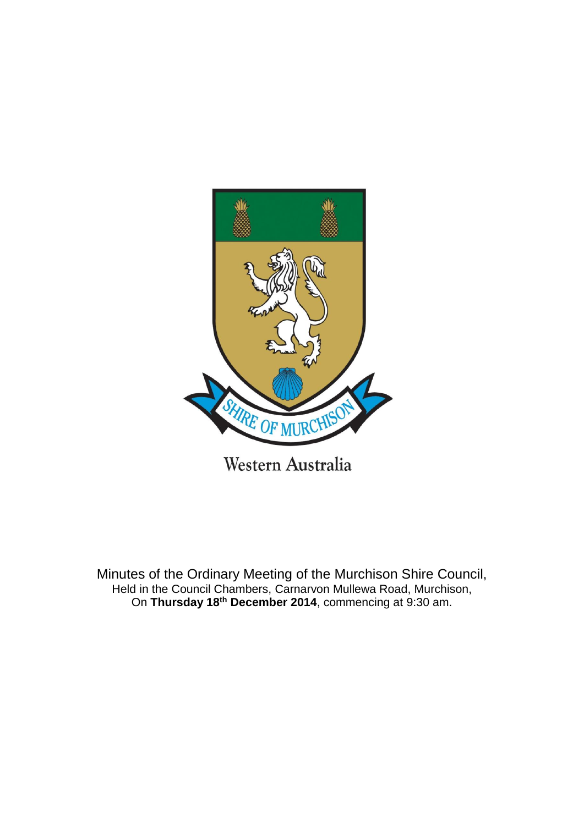

Minutes of the Ordinary Meeting of the Murchison Shire Council, Held in the Council Chambers, Carnarvon Mullewa Road, Murchison, On **Thursday 18th December 2014**, commencing at 9:30 am.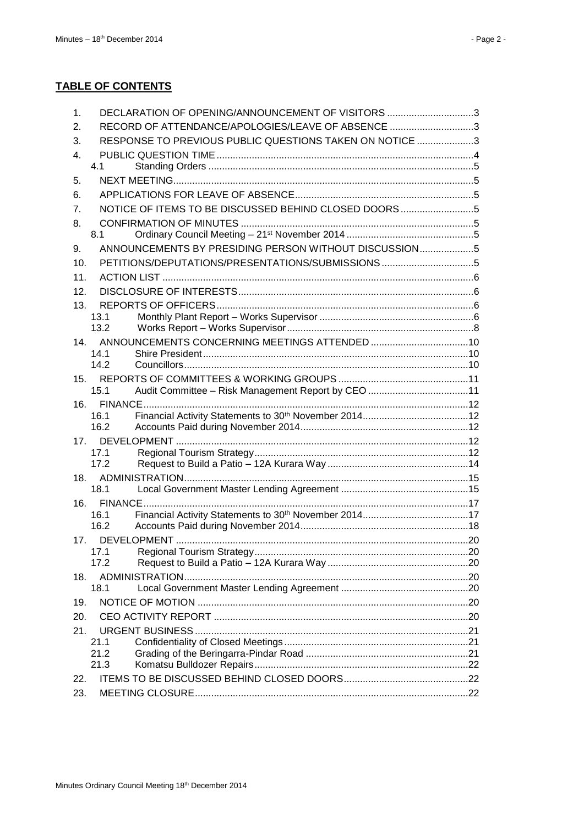# **TABLE OF CONTENTS**

| $\mathbf 1$ .   | DECLARATION OF OPENING/ANNOUNCEMENT OF VISITORS 3          |  |
|-----------------|------------------------------------------------------------|--|
| 2.              | RECORD OF ATTENDANCE/APOLOGIES/LEAVE OF ABSENCE 3          |  |
| 3.              | RESPONSE TO PREVIOUS PUBLIC QUESTIONS TAKEN ON NOTICE 3    |  |
| 4.              |                                                            |  |
|                 | 4.1                                                        |  |
| 5.              |                                                            |  |
| 6.              |                                                            |  |
| 7.              | NOTICE OF ITEMS TO BE DISCUSSED BEHIND CLOSED DOORS5       |  |
| 8.              |                                                            |  |
|                 | 8.1                                                        |  |
| 9.              | ANNOUNCEMENTS BY PRESIDING PERSON WITHOUT DISCUSSION5      |  |
| 10.             |                                                            |  |
| 11.             |                                                            |  |
| 12.             |                                                            |  |
| 13.             | 13.1                                                       |  |
|                 | 13.2                                                       |  |
| 14 <sub>1</sub> |                                                            |  |
|                 | 14.1                                                       |  |
|                 | 14.2                                                       |  |
| 15.             |                                                            |  |
|                 | 15.1<br>Audit Committee - Risk Management Report by CEO 11 |  |
| 16.             |                                                            |  |
|                 | 16.1<br>16.2                                               |  |
| 17.             |                                                            |  |
|                 | 17.1                                                       |  |
|                 | 17.2                                                       |  |
| 18.             |                                                            |  |
|                 | 18.1                                                       |  |
| 16.             |                                                            |  |
|                 | 16.1<br>16.2                                               |  |
| 17.             |                                                            |  |
|                 | 17.1                                                       |  |
|                 | 17.2                                                       |  |
| 18.             |                                                            |  |
|                 | 18.1                                                       |  |
| 19.             |                                                            |  |
| 20.             |                                                            |  |
| 21.             |                                                            |  |
|                 | 21.1<br>21.2                                               |  |
|                 | 21.3                                                       |  |
| 22.             |                                                            |  |
| 23.             |                                                            |  |
|                 |                                                            |  |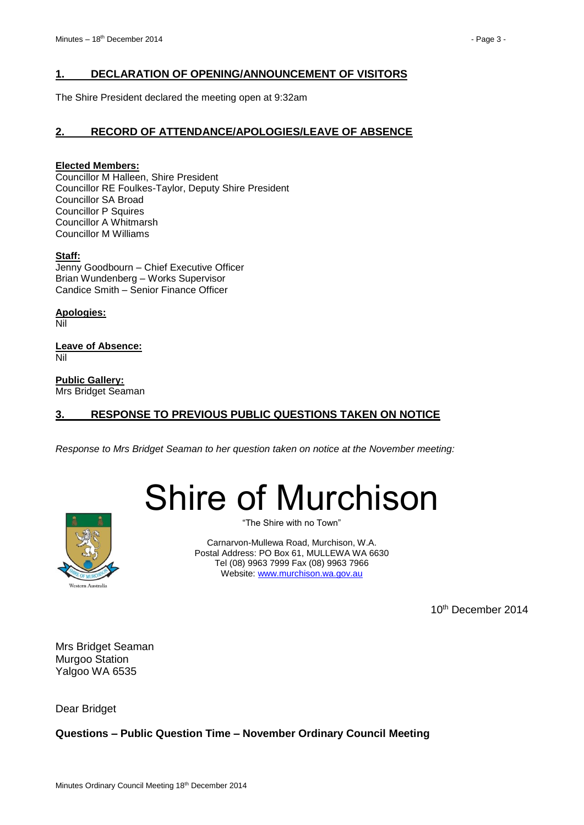# <span id="page-2-0"></span>**1. DECLARATION OF OPENING/ANNOUNCEMENT OF VISITORS**

The Shire President declared the meeting open at 9:32am

# <span id="page-2-1"></span>**2. RECORD OF ATTENDANCE/APOLOGIES/LEAVE OF ABSENCE**

#### **Elected Members:**

Councillor M Halleen, Shire President Councillor RE Foulkes-Taylor, Deputy Shire President Councillor SA Broad Councillor P Squires Councillor A Whitmarsh Councillor M Williams

#### **Staff:**

Jenny Goodbourn – Chief Executive Officer Brian Wundenberg – Works Supervisor Candice Smith – Senior Finance Officer

**Apologies:** Nil

**Leave of Absence:** Nil

**Public Gallery:** Mrs Bridget Seaman

# <span id="page-2-2"></span>**3. RESPONSE TO PREVIOUS PUBLIC QUESTIONS TAKEN ON NOTICE**

*Response to Mrs Bridget Seaman to her question taken on notice at the November meeting:*





"The Shire with no Town"

Carnarvon-Mullewa Road, Murchison, W.A. Postal Address: PO Box 61, MULLEWA WA 6630 Tel (08) 9963 7999 Fax (08) 9963 7966 Website: [www.murchison.wa.gov.au](http://www.murchison.wa.gov.au/)

10<sup>th</sup> December 2014

Mrs Bridget Seaman Murgoo Station Yalgoo WA 6535

Dear Bridget

# **Questions – Public Question Time – November Ordinary Council Meeting**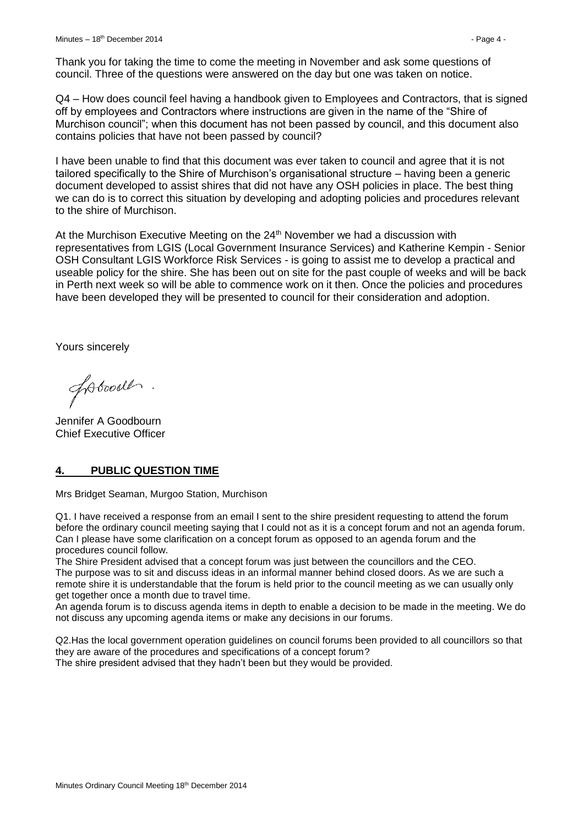Thank you for taking the time to come the meeting in November and ask some questions of council. Three of the questions were answered on the day but one was taken on notice.

Q4 – How does council feel having a handbook given to Employees and Contractors, that is signed off by employees and Contractors where instructions are given in the name of the "Shire of Murchison council"; when this document has not been passed by council, and this document also contains policies that have not been passed by council?

I have been unable to find that this document was ever taken to council and agree that it is not tailored specifically to the Shire of Murchison's organisational structure – having been a generic document developed to assist shires that did not have any OSH policies in place. The best thing we can do is to correct this situation by developing and adopting policies and procedures relevant to the shire of Murchison.

At the Murchison Executive Meeting on the  $24<sup>th</sup>$  November we had a discussion with representatives from LGIS (Local Government Insurance Services) and Katherine Kempin - Senior OSH Consultant LGIS Workforce Risk Services - is going to assist me to develop a practical and useable policy for the shire. She has been out on site for the past couple of weeks and will be back in Perth next week so will be able to commence work on it then. Once the policies and procedures have been developed they will be presented to council for their consideration and adoption.

Yours sincerely

fobood.

Jennifer A Goodbourn Chief Executive Officer

# <span id="page-3-0"></span>**4. PUBLIC QUESTION TIME**

Mrs Bridget Seaman, Murgoo Station, Murchison

Q1. I have received a response from an email I sent to the shire president requesting to attend the forum before the ordinary council meeting saying that I could not as it is a concept forum and not an agenda forum. Can I please have some clarification on a concept forum as opposed to an agenda forum and the procedures council follow.

The Shire President advised that a concept forum was just between the councillors and the CEO. The purpose was to sit and discuss ideas in an informal manner behind closed doors. As we are such a remote shire it is understandable that the forum is held prior to the council meeting as we can usually only get together once a month due to travel time.

An agenda forum is to discuss agenda items in depth to enable a decision to be made in the meeting. We do not discuss any upcoming agenda items or make any decisions in our forums.

Q2.Has the local government operation guidelines on council forums been provided to all councillors so that they are aware of the procedures and specifications of a concept forum?

The shire president advised that they hadn't been but they would be provided.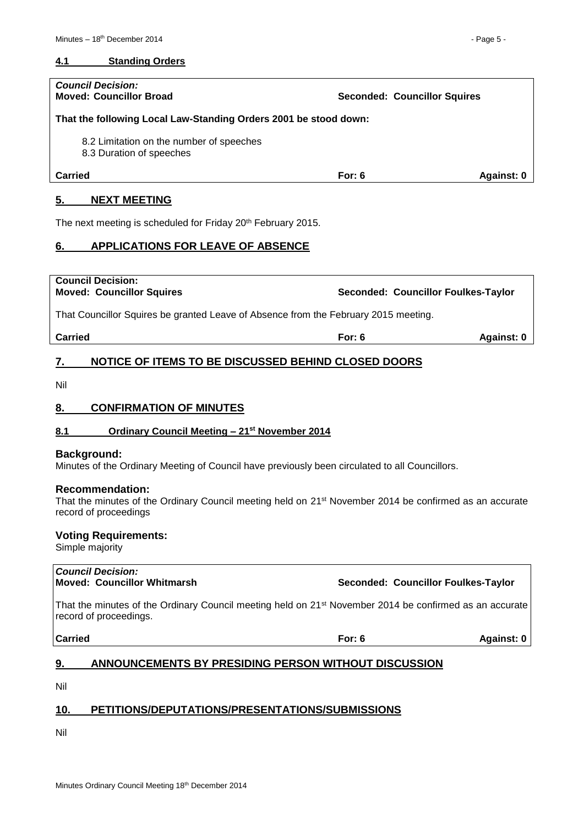#### <span id="page-4-0"></span>**4.1 Standing Orders**

| <b>Council Decision:</b><br><b>Moved: Councillor Broad</b>           |          | <b>Seconded: Councillor Squires</b> |
|----------------------------------------------------------------------|----------|-------------------------------------|
| That the following Local Law-Standing Orders 2001 be stood down:     |          |                                     |
| 8.2 Limitation on the number of speeches<br>8.3 Duration of speeches |          |                                     |
| Carried                                                              | For: $6$ | Against: 0                          |
|                                                                      |          |                                     |

#### <span id="page-4-1"></span>**5. NEXT MEETING**

The next meeting is scheduled for Friday 20<sup>th</sup> February 2015.

## <span id="page-4-2"></span>**6. APPLICATIONS FOR LEAVE OF ABSENCE**

**Council Decision: Moved: Councillor Squires Seconded: Councillor Foulkes-Taylor** That Councillor Squires be granted Leave of Absence from the February 2015 meeting. **Carried For: 6 Against: 0 7. NOTICE OF ITEMS TO BE DISCUSSED BEHIND CLOSED DOORS**

<span id="page-4-3"></span>Nil

#### <span id="page-4-4"></span>**8. CONFIRMATION OF MINUTES**

#### <span id="page-4-5"></span>**8.1 Ordinary Council Meeting – 21st November 2014**

#### **Background:**

Minutes of the Ordinary Meeting of Council have previously been circulated to all Councillors.

#### **Recommendation:**

That the minutes of the Ordinary Council meeting held on 21st November 2014 be confirmed as an accurate record of proceedings

#### **Voting Requirements:**

Simple majority

| Council Decision:<br>Moved: Councillor Whitmarsh                                                                                              |          | Seconded: Councillor Foulkes-Taylor |
|-----------------------------------------------------------------------------------------------------------------------------------------------|----------|-------------------------------------|
| That the minutes of the Ordinary Council meeting held on 21 <sup>st</sup> November 2014 be confirmed as an accurate<br>record of proceedings. |          |                                     |
| <b>Carried</b>                                                                                                                                | For: $6$ | Against: 0                          |

# <span id="page-4-6"></span>**9. ANNOUNCEMENTS BY PRESIDING PERSON WITHOUT DISCUSSION**

Nil

# <span id="page-4-7"></span>**10. PETITIONS/DEPUTATIONS/PRESENTATIONS/SUBMISSIONS**

Nil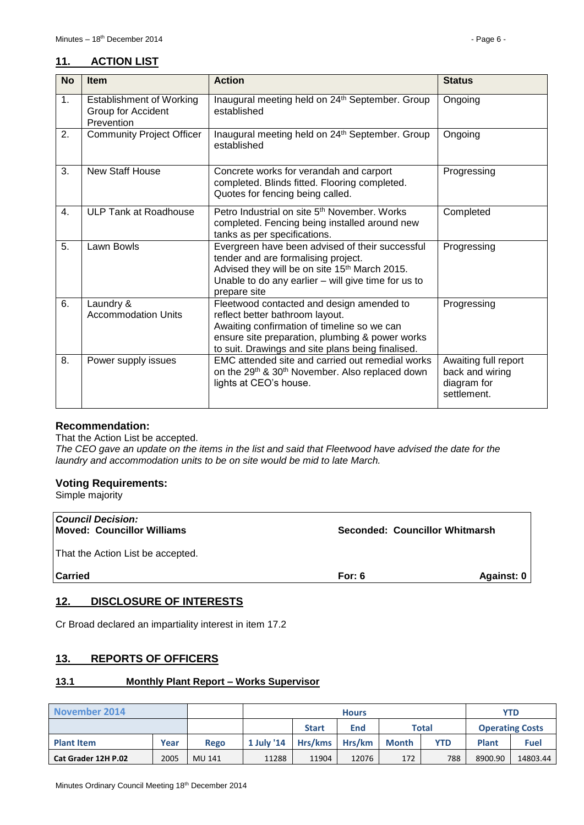# <span id="page-5-0"></span>**11. ACTION LIST**

| <b>No</b> | <b>Item</b>                                                         | <b>Action</b>                                                                                                                                                                                                                       | <b>Status</b>                                                         |
|-----------|---------------------------------------------------------------------|-------------------------------------------------------------------------------------------------------------------------------------------------------------------------------------------------------------------------------------|-----------------------------------------------------------------------|
| 1.        | <b>Establishment of Working</b><br>Group for Accident<br>Prevention | Inaugural meeting held on 24th September. Group<br>established                                                                                                                                                                      | Ongoing                                                               |
| 2.        | <b>Community Project Officer</b>                                    | Inaugural meeting held on 24th September. Group<br>established                                                                                                                                                                      | Ongoing                                                               |
| 3.        | New Staff House                                                     | Concrete works for verandah and carport<br>completed. Blinds fitted. Flooring completed.<br>Quotes for fencing being called.                                                                                                        | Progressing                                                           |
| 4.        | ULP Tank at Roadhouse                                               | Petro Industrial on site 5 <sup>th</sup> November, Works<br>completed. Fencing being installed around new<br>tanks as per specifications.                                                                                           | Completed                                                             |
| 5.        | Lawn Bowls                                                          | Evergreen have been advised of their successful<br>tender and are formalising project.<br>Advised they will be on site 15 <sup>th</sup> March 2015.<br>Unable to do any earlier – will give time for us to<br>prepare site          | Progressing                                                           |
| 6.        | Laundry &<br><b>Accommodation Units</b>                             | Fleetwood contacted and design amended to<br>reflect better bathroom layout.<br>Awaiting confirmation of timeline so we can<br>ensure site preparation, plumbing & power works<br>to suit. Drawings and site plans being finalised. | Progressing                                                           |
| 8.        | Power supply issues                                                 | EMC attended site and carried out remedial works<br>on the 29 <sup>th</sup> & 30 <sup>th</sup> November. Also replaced down<br>lights at CEO's house.                                                                               | Awaiting full report<br>back and wiring<br>diagram for<br>settlement. |

#### **Recommendation:**

That the Action List be accepted.

*The CEO gave an update on the items in the list and said that Fleetwood have advised the date for the laundry and accommodation units to be on site would be mid to late March.*

## **Voting Requirements:**

Simple majority

| Against: 0 |
|------------|
|            |

# <span id="page-5-1"></span>**12. DISCLOSURE OF INTERESTS**

Cr Broad declared an impartiality interest in item 17.2

# <span id="page-5-2"></span>**13. REPORTS OF OFFICERS**

#### <span id="page-5-3"></span>**13.1 Monthly Plant Report – Works Supervisor**

| November 2014              |      |               | <b>Hours</b>                        |         |        |                        |            | <b>YTD</b> |             |
|----------------------------|------|---------------|-------------------------------------|---------|--------|------------------------|------------|------------|-------------|
|                            |      |               | End<br><b>Total</b><br><b>Start</b> |         |        | <b>Operating Costs</b> |            |            |             |
| <b>Plant Item</b>          | Year | <b>Rego</b>   | 1 July '14                          | Hrs/kms | Hrs/km | <b>Month</b>           | <b>YTD</b> | Plant      | <b>Fuel</b> |
| <b>Cat Grader 12H P.02</b> | 2005 | <b>MU 141</b> | 11288                               | 11904   | 12076  | 172                    | 788        | 8900.90    | 14803.44    |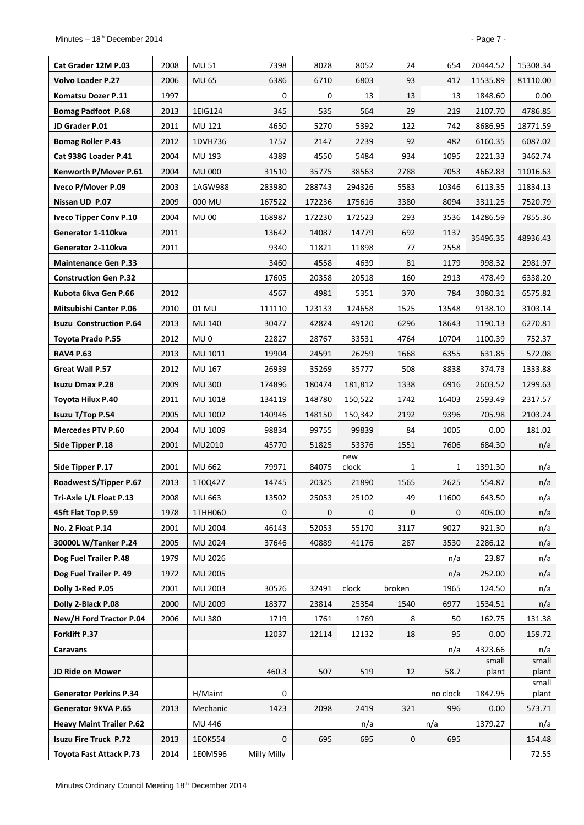| Cat Grader 12M P.03             | 2008 | MU 51           | 7398             | 8028         | 8052         | 24          | 654             | 20444.52        | 15308.34       |
|---------------------------------|------|-----------------|------------------|--------------|--------------|-------------|-----------------|-----------------|----------------|
| <b>Volvo Loader P.27</b>        | 2006 | <b>MU 65</b>    | 6386             | 6710         | 6803         | 93          | 417             | 11535.89        | 81110.00       |
| Komatsu Dozer P.11              | 1997 |                 | 0                | 0            | 13           | 13          | 13              | 1848.60         | 0.00           |
| <b>Bomag Padfoot P.68</b>       | 2013 | 1EIG124         | 345              | 535          | 564          | 29          | 219             | 2107.70         | 4786.85        |
| JD Grader P.01                  | 2011 | MU 121          | 4650             | 5270         | 5392         | 122         | 742             | 8686.95         | 18771.59       |
| <b>Bomag Roller P.43</b>        | 2012 | 1DVH736         | 1757             | 2147         | 2239         | 92          | 482             | 6160.35         | 6087.02        |
| Cat 938G Loader P.41            | 2004 | MU 193          | 4389             | 4550         | 5484         | 934         | 1095            | 2221.33         | 3462.74        |
| Kenworth P/Mover P.61           | 2004 | <b>MU 000</b>   | 31510            | 35775        | 38563        | 2788        | 7053            | 4662.83         | 11016.63       |
| Iveco P/Mover P.09              | 2003 | 1AGW988         | 283980           | 288743       | 294326       | 5583        | 10346           | 6113.35         | 11834.13       |
| Nissan UD P.07                  | 2009 | 000 MU          | 167522           | 172236       | 175616       | 3380        | 8094            | 3311.25         | 7520.79        |
| <b>Iveco Tipper Conv P.10</b>   | 2004 | <b>MU00</b>     | 168987           | 172230       | 172523       | 293         | 3536            | 14286.59        | 7855.36        |
| Generator 1-110kva              | 2011 |                 | 13642            | 14087        | 14779        | 692         | 1137            | 35496.35        | 48936.43       |
| Generator 2-110kva              | 2011 |                 | 9340             | 11821        | 11898        | 77          | 2558            |                 |                |
| <b>Maintenance Gen P.33</b>     |      |                 | 3460             | 4558         | 4639         | 81          | 1179            | 998.32          | 2981.97        |
| <b>Construction Gen P.32</b>    |      |                 | 17605            | 20358        | 20518        | 160         | 2913            | 478.49          | 6338.20        |
| Kubota 6kva Gen P.66            | 2012 |                 | 4567             | 4981         | 5351         | 370         | 784             | 3080.31         | 6575.82        |
| <b>Mitsubishi Canter P.06</b>   | 2010 | 01 MU           | 111110           | 123133       | 124658       | 1525        | 13548           | 9138.10         | 3103.14        |
| <b>Isuzu Construction P.64</b>  | 2013 | MU 140          | 30477            | 42824        | 49120        | 6296        | 18643           | 1190.13         | 6270.81        |
| Toyota Prado P.55               | 2012 | MU <sub>0</sub> | 22827            | 28767        | 33531        | 4764        | 10704           | 1100.39         | 752.37         |
| <b>RAV4 P.63</b>                | 2013 | MU 1011         | 19904            | 24591        | 26259        | 1668        | 6355            | 631.85          | 572.08         |
| Great Wall P.57                 | 2012 | MU 167          | 26939            | 35269        | 35777        | 508         | 8838            | 374.73          | 1333.88        |
| <b>Isuzu Dmax P.28</b>          | 2009 | <b>MU 300</b>   | 174896           | 180474       | 181,812      | 1338        | 6916            | 2603.52         | 1299.63        |
| Toyota Hilux P.40               | 2011 | MU 1018         | 134119           | 148780       | 150,522      | 1742        | 16403           | 2593.49         | 2317.57        |
| Isuzu T/Top P.54                | 2005 | MU 1002         | 140946           | 148150       | 150,342      | 2192        | 9396            | 705.98          | 2103.24        |
| <b>Mercedes PTV P.60</b>        | 2004 | MU 1009         | 98834            | 99755        | 99839        | 84          | 1005            | 0.00            | 181.02         |
| Side Tipper P.18                | 2001 | MU2010          | 45770            | 51825        | 53376        | 1551        | 7606            | 684.30          | n/a            |
| Side Tipper P.17                | 2001 | MU 662          | 79971            | 84075        | new<br>clock | 1           | $\mathbf{1}$    | 1391.30         | n/a            |
| Roadwest S/Tipper P.67          | 2013 | 1T0Q427         | 14745            | 20325        | 21890        | 1565        | 2625            | 554.87          | n/a            |
| Tri-Axle L/L Float P.13         | 2008 | MU 663          | 13502            | 25053        | 25102        | 49          | 11600           | 643.50          | n/a            |
| 45ft Flat Top P.59              | 1978 | 1THH060         | 0                | $\mathbf{0}$ | 0            | 0           | 0               | 405.00          | n/a            |
| No. 2 Float P.14                | 2001 | <b>MU 2004</b>  | 46143            | 52053        | 55170        | 3117        | 9027            | 921.30          | n/a            |
| 30000L W/Tanker P.24            | 2005 | MU 2024         | 37646            | 40889        | 41176        | 287         | 3530            | 2286.12         | n/a            |
| Dog Fuel Trailer P.48           | 1979 | MU 2026         |                  |              |              |             | n/a             | 23.87           | n/a            |
| Dog Fuel Trailer P. 49          | 1972 | <b>MU 2005</b>  |                  |              |              |             | n/a             | 252.00          | n/a            |
| Dolly 1-Red P.05                | 2001 | MU 2003         | 30526            | 32491        | clock        | broken      | 1965            | 124.50          | n/a            |
| Dolly 2-Black P.08              | 2000 | MU 2009         | 18377            | 23814        | 25354        | 1540        | 6977            | 1534.51         | n/a            |
| New/H Ford Tractor P.04         | 2006 | <b>MU 380</b>   | 1719             | 1761         | 1769         | 8           | 50              | 162.75          | 131.38         |
| Forklift P.37                   |      |                 | 12037            | 12114        | 12132        | 18          | 95              | 0.00            | 159.72         |
| Caravans                        |      |                 |                  |              |              |             | n/a             | 4323.66         | n/a            |
| JD Ride on Mower                |      |                 | 460.3            | 507          | 519          | 12          | 58.7            | small<br>plant  | small<br>plant |
| <b>Generator Perkins P.34</b>   |      | H/Maint         |                  |              |              |             |                 |                 | small          |
| Generator 9KVA P.65             | 2013 | Mechanic        | 0<br>1423        | 2098         | 2419         | 321         | no clock<br>996 | 1847.95<br>0.00 | plant          |
| <b>Heavy Maint Trailer P.62</b> |      | MU 446          |                  |              |              |             | n/a             | 1379.27         | 573.71         |
| <b>Isuzu Fire Truck P.72</b>    | 2013 | 1EOK554         | $\boldsymbol{0}$ | 695          | n/a<br>695   | $\mathbf 0$ | 695             |                 | n/a<br>154.48  |
| <b>Toyota Fast Attack P.73</b>  | 2014 | 1E0M596         | Milly Milly      |              |              |             |                 |                 | 72.55          |
|                                 |      |                 |                  |              |              |             |                 |                 |                |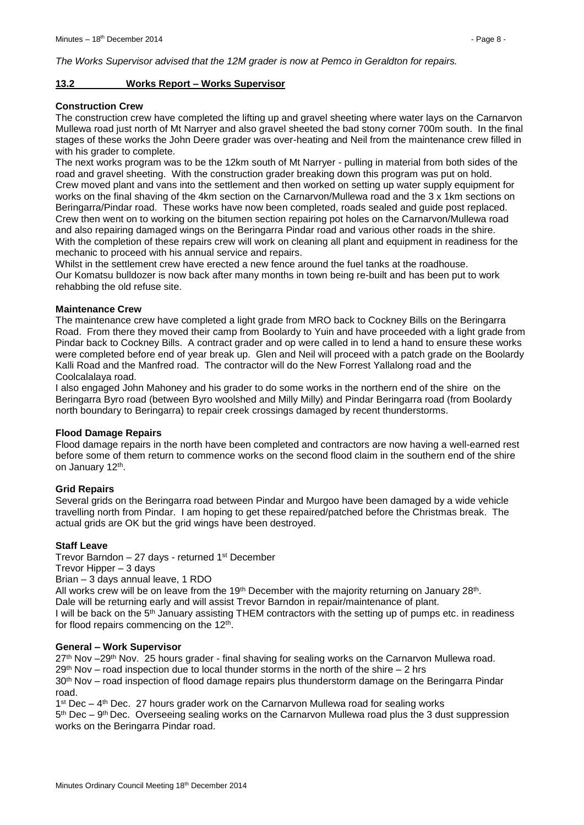*The Works Supervisor advised that the 12M grader is now at Pemco in Geraldton for repairs.*

#### <span id="page-7-0"></span>**13.2 Works Report – Works Supervisor**

#### **Construction Crew**

The construction crew have completed the lifting up and gravel sheeting where water lays on the Carnarvon Mullewa road just north of Mt Narryer and also gravel sheeted the bad stony corner 700m south. In the final stages of these works the John Deere grader was over-heating and Neil from the maintenance crew filled in with his grader to complete.

The next works program was to be the 12km south of Mt Narryer - pulling in material from both sides of the road and gravel sheeting. With the construction grader breaking down this program was put on hold. Crew moved plant and vans into the settlement and then worked on setting up water supply equipment for works on the final shaving of the 4km section on the Carnarvon/Mullewa road and the 3 x 1km sections on Beringarra/Pindar road. These works have now been completed, roads sealed and guide post replaced. Crew then went on to working on the bitumen section repairing pot holes on the Carnarvon/Mullewa road and also repairing damaged wings on the Beringarra Pindar road and various other roads in the shire. With the completion of these repairs crew will work on cleaning all plant and equipment in readiness for the mechanic to proceed with his annual service and repairs.

Whilst in the settlement crew have erected a new fence around the fuel tanks at the roadhouse. Our Komatsu bulldozer is now back after many months in town being re-built and has been put to work rehabbing the old refuse site.

#### **Maintenance Crew**

The maintenance crew have completed a light grade from MRO back to Cockney Bills on the Beringarra Road. From there they moved their camp from Boolardy to Yuin and have proceeded with a light grade from Pindar back to Cockney Bills. A contract grader and op were called in to lend a hand to ensure these works were completed before end of year break up. Glen and Neil will proceed with a patch grade on the Boolardy Kalli Road and the Manfred road. The contractor will do the New Forrest Yallalong road and the Coolcalalaya road.

I also engaged John Mahoney and his grader to do some works in the northern end of the shire on the Beringarra Byro road (between Byro woolshed and Milly Milly) and Pindar Beringarra road (from Boolardy north boundary to Beringarra) to repair creek crossings damaged by recent thunderstorms.

#### **Flood Damage Repairs**

Flood damage repairs in the north have been completed and contractors are now having a well-earned rest before some of them return to commence works on the second flood claim in the southern end of the shire on January 12<sup>th</sup>.

#### **Grid Repairs**

Several grids on the Beringarra road between Pindar and Murgoo have been damaged by a wide vehicle travelling north from Pindar. I am hoping to get these repaired/patched before the Christmas break. The actual grids are OK but the grid wings have been destroyed.

#### **Staff Leave**

Trevor Barndon  $-27$  days - returned 1<sup>st</sup> December

Trevor Hipper – 3 days

Brian – 3 days annual leave, 1 RDO

All works crew will be on leave from the 19<sup>th</sup> December with the majority returning on January 28<sup>th</sup>. Dale will be returning early and will assist Trevor Barndon in repair/maintenance of plant.

I will be back on the  $5<sup>th</sup>$  January assisting THEM contractors with the setting up of pumps etc. in readiness for flood repairs commencing on the 12<sup>th</sup>.

#### **General – Work Supervisor**

27<sup>th</sup> Nov –29<sup>th</sup> Nov. 25 hours grader - final shaving for sealing works on the Carnarvon Mullewa road.  $29<sup>th</sup>$  Nov – road inspection due to local thunder storms in the north of the shire – 2 hrs

30<sup>th</sup> Nov – road inspection of flood damage repairs plus thunderstorm damage on the Beringarra Pindar road.

 $1<sup>st</sup>$  Dec – 4<sup>th</sup> Dec. 27 hours grader work on the Carnarvon Mullewa road for sealing works

5<sup>th</sup> Dec – 9<sup>th</sup> Dec. Overseeing sealing works on the Carnarvon Mullewa road plus the 3 dust suppression works on the Beringarra Pindar road.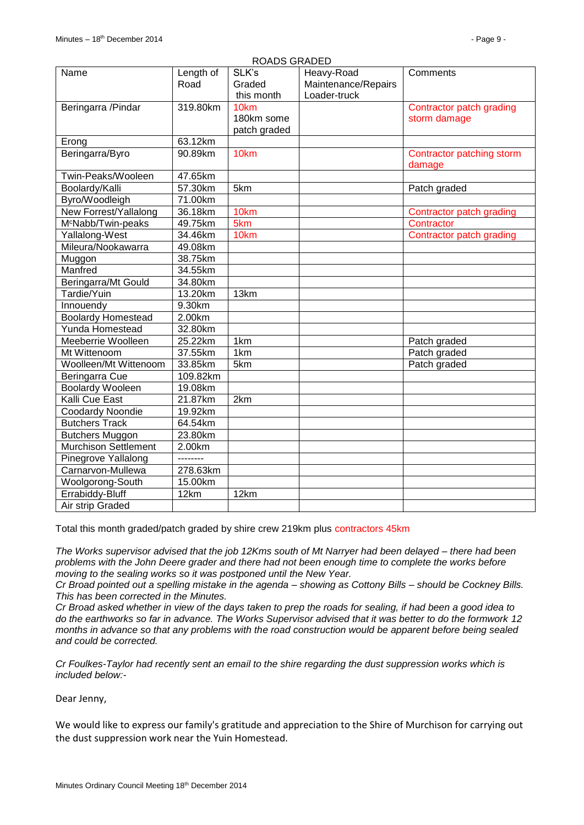| SLK's<br>Name<br>Length of<br>Heavy-Road<br>Comments                            |  |
|---------------------------------------------------------------------------------|--|
| Road<br>Graded<br>Maintenance/Repairs                                           |  |
| this month<br>Loader-truck                                                      |  |
| Beringarra / Pindar<br>319.80km<br>10 <sub>km</sub><br>Contractor patch grading |  |
| 180km some<br>storm damage                                                      |  |
| patch graded                                                                    |  |
| 63.12km<br>Erong                                                                |  |
| Beringarra/Byro<br>10km<br>90.89km<br>Contractor patching storm                 |  |
| damage                                                                          |  |
| Twin-Peaks/Wooleen<br>47.65km                                                   |  |
| Boolardy/Kalli<br>57.30km<br>5km<br>Patch graded                                |  |
| Byro/Woodleigh<br>71.00km                                                       |  |
| New Forrest/Yallalong<br>36.18km<br>10km<br>Contractor patch grading            |  |
| M <sup>c</sup> Nabb/Twin-peaks<br>49.75km<br>5km<br>Contractor                  |  |
| Yallalong-West<br>34.46km<br>10km<br>Contractor patch grading                   |  |
| Mileura/Nookawarra<br>49.08km                                                   |  |
| 38.75km<br>Muggon                                                               |  |
| Manfred<br>34.55km                                                              |  |
| Beringarra/Mt Gould<br>34.80km                                                  |  |
| Tardie/Yuin<br>13.20km<br>13km                                                  |  |
| 9.30km<br>Innouendy                                                             |  |
| <b>Boolardy Homestead</b><br>2.00km                                             |  |
| Yunda Homestead<br>32.80km                                                      |  |
| 25.22km<br>Meeberrie Woolleen<br>1km<br>Patch graded                            |  |
| 37.55km<br>1km<br>Patch graded<br>Mt Wittenoom                                  |  |
| Woolleen/Mt Wittenoom<br>33.85km<br>5km<br>Patch graded                         |  |
| Beringarra Cue<br>109.82km                                                      |  |
| <b>Boolardy Wooleen</b><br>19.08km                                              |  |
| <b>Kalli Cue East</b><br>21.87km<br>2km                                         |  |
| Coodardy Noondie<br>19.92km                                                     |  |
| <b>Butchers Track</b><br>64.54km                                                |  |
| 23.80km<br><b>Butchers Muggon</b>                                               |  |
| <b>Murchison Settlement</b><br>2.00km                                           |  |
| Pinegrove Yallalong<br>--------                                                 |  |
| Carnarvon-Mullewa<br>278.63km                                                   |  |
| Woolgorong-South<br>15.00km                                                     |  |
| Errabiddy-Bluff<br>12km<br>12km                                                 |  |
| Air strip Graded                                                                |  |

Total this month graded/patch graded by shire crew 219km plus contractors 45km

*The Works supervisor advised that the job 12Kms south of Mt Narryer had been delayed – there had been problems with the John Deere grader and there had not been enough time to complete the works before moving to the sealing works so it was postponed until the New Year.*

*Cr Broad pointed out a spelling mistake in the agenda – showing as Cottony Bills – should be Cockney Bills. This has been corrected in the Minutes.*

*Cr Broad asked whether in view of the days taken to prep the roads for sealing, if had been a good idea to do the earthworks so far in advance. The Works Supervisor advised that it was better to do the formwork 12 months in advance so that any problems with the road construction would be apparent before being sealed and could be corrected.*

*Cr Foulkes-Taylor had recently sent an email to the shire regarding the dust suppression works which is included below:-*

Dear Jenny,

We would like to express our family's gratitude and appreciation to the Shire of Murchison for carrying out the dust suppression work near the Yuin Homestead.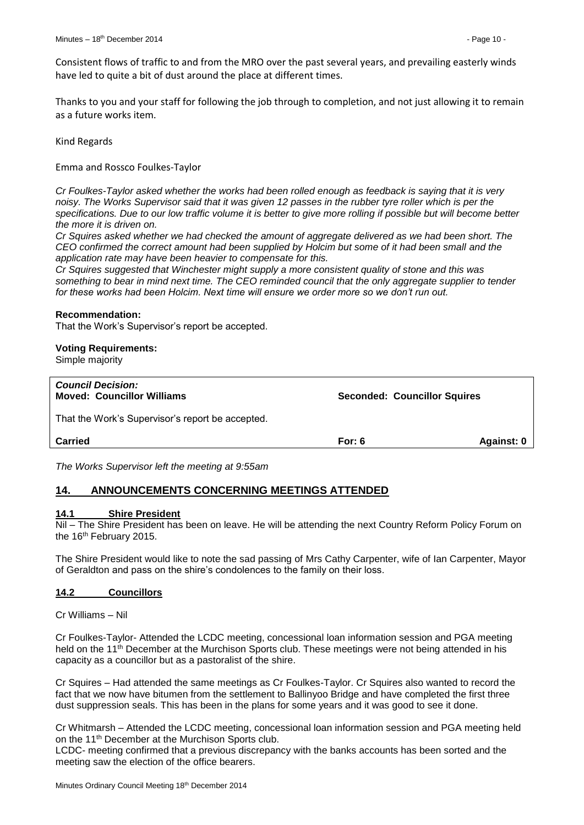Consistent flows of traffic to and from the MRO over the past several years, and prevailing easterly winds have led to quite a bit of dust around the place at different times.

Thanks to you and your staff for following the job through to completion, and not just allowing it to remain as a future works item.

Kind Regards

Emma and Rossco Foulkes-Taylor

*Cr Foulkes-Taylor asked whether the works had been rolled enough as feedback is saying that it is very noisy. The Works Supervisor said that it was given 12 passes in the rubber tyre roller which is per the*  specifications. Due to our low traffic volume it is better to give more rolling if possible but will become better *the more it is driven on.*

*Cr Squires asked whether we had checked the amount of aggregate delivered as we had been short. The CEO confirmed the correct amount had been supplied by Holcim but some of it had been small and the application rate may have been heavier to compensate for this.*

*Cr Squires suggested that Winchester might supply a more consistent quality of stone and this was something to bear in mind next time. The CEO reminded council that the only aggregate supplier to tender for these works had been Holcim. Next time will ensure we order more so we don't run out.*

#### **Recommendation:**

That the Work's Supervisor's report be accepted.

#### **Voting Requirements:**

Simple majority

| <b>Council Decision:</b><br><b>Moved: Councillor Williams</b> | <b>Seconded: Councillor Squires</b> |            |  |
|---------------------------------------------------------------|-------------------------------------|------------|--|
| That the Work's Supervisor's report be accepted.              |                                     |            |  |
| <b>Carried</b>                                                | For: $6$                            | Against: 0 |  |

*The Works Supervisor left the meeting at 9:55am*

# <span id="page-9-0"></span>**14. ANNOUNCEMENTS CONCERNING MEETINGS ATTENDED**

#### <span id="page-9-1"></span>**14.1 Shire President**

Nil – The Shire President has been on leave. He will be attending the next Country Reform Policy Forum on the 16<sup>th</sup> February 2015.

The Shire President would like to note the sad passing of Mrs Cathy Carpenter, wife of Ian Carpenter, Mayor of Geraldton and pass on the shire's condolences to the family on their loss.

#### <span id="page-9-2"></span>**14.2 Councillors**

Cr Williams – Nil

Cr Foulkes-Taylor- Attended the LCDC meeting, concessional loan information session and PGA meeting held on the 11<sup>th</sup> December at the Murchison Sports club. These meetings were not being attended in his capacity as a councillor but as a pastoralist of the shire.

Cr Squires – Had attended the same meetings as Cr Foulkes-Taylor. Cr Squires also wanted to record the fact that we now have bitumen from the settlement to Ballinyoo Bridge and have completed the first three dust suppression seals. This has been in the plans for some years and it was good to see it done.

Cr Whitmarsh – Attended the LCDC meeting, concessional loan information session and PGA meeting held on the 11th December at the Murchison Sports club.

LCDC- meeting confirmed that a previous discrepancy with the banks accounts has been sorted and the meeting saw the election of the office bearers.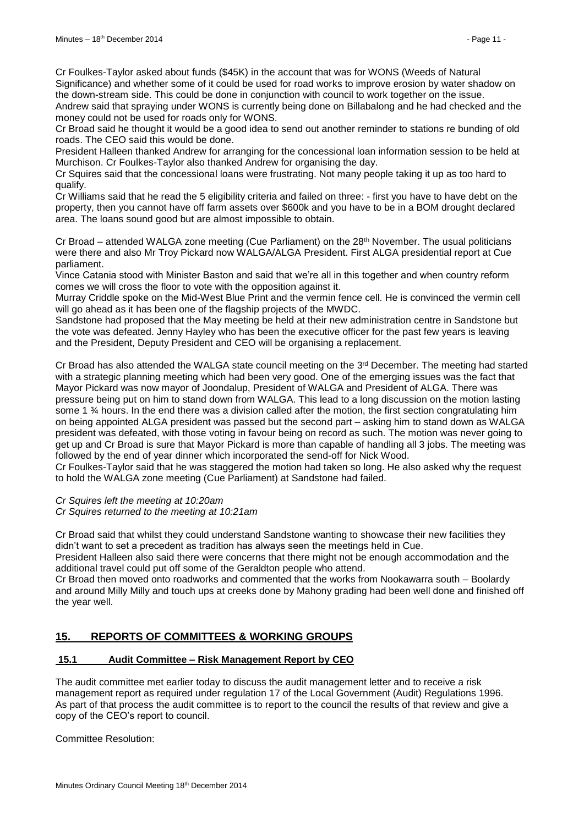Cr Foulkes-Taylor asked about funds (\$45K) in the account that was for WONS (Weeds of Natural Significance) and whether some of it could be used for road works to improve erosion by water shadow on the down-stream side. This could be done in conjunction with council to work together on the issue.

Andrew said that spraying under WONS is currently being done on Billabalong and he had checked and the money could not be used for roads only for WONS.

Cr Broad said he thought it would be a good idea to send out another reminder to stations re bunding of old roads. The CEO said this would be done.

President Halleen thanked Andrew for arranging for the concessional loan information session to be held at Murchison. Cr Foulkes-Taylor also thanked Andrew for organising the day.

Cr Squires said that the concessional loans were frustrating. Not many people taking it up as too hard to qualify.

Cr Williams said that he read the 5 eligibility criteria and failed on three: - first you have to have debt on the property, then you cannot have off farm assets over \$600k and you have to be in a BOM drought declared area. The loans sound good but are almost impossible to obtain.

Cr Broad – attended WALGA zone meeting (Cue Parliament) on the 28<sup>th</sup> November. The usual politicians were there and also Mr Troy Pickard now WALGA/ALGA President. First ALGA presidential report at Cue parliament.

Vince Catania stood with Minister Baston and said that we're all in this together and when country reform comes we will cross the floor to vote with the opposition against it.

Murray Criddle spoke on the Mid-West Blue Print and the vermin fence cell. He is convinced the vermin cell will go ahead as it has been one of the flagship projects of the MWDC.

Sandstone had proposed that the May meeting be held at their new administration centre in Sandstone but the vote was defeated. Jenny Hayley who has been the executive officer for the past few years is leaving and the President, Deputy President and CEO will be organising a replacement.

Cr Broad has also attended the WALGA state council meeting on the  $3<sup>rd</sup>$  December. The meeting had started with a strategic planning meeting which had been very good. One of the emerging issues was the fact that Mayor Pickard was now mayor of Joondalup, President of WALGA and President of ALGA. There was pressure being put on him to stand down from WALGA. This lead to a long discussion on the motion lasting some 1 % hours. In the end there was a division called after the motion, the first section congratulating him on being appointed ALGA president was passed but the second part – asking him to stand down as WALGA president was defeated, with those voting in favour being on record as such. The motion was never going to get up and Cr Broad is sure that Mayor Pickard is more than capable of handling all 3 jobs. The meeting was followed by the end of year dinner which incorporated the send-off for Nick Wood.

Cr Foulkes-Taylor said that he was staggered the motion had taken so long. He also asked why the request to hold the WALGA zone meeting (Cue Parliament) at Sandstone had failed.

*Cr Squires left the meeting at 10:20am*

*Cr Squires returned to the meeting at 10:21am*

Cr Broad said that whilst they could understand Sandstone wanting to showcase their new facilities they didn't want to set a precedent as tradition has always seen the meetings held in Cue.

President Halleen also said there were concerns that there might not be enough accommodation and the additional travel could put off some of the Geraldton people who attend.

Cr Broad then moved onto roadworks and commented that the works from Nookawarra south – Boolardy and around Milly Milly and touch ups at creeks done by Mahony grading had been well done and finished off the year well.

# <span id="page-10-0"></span>**15. REPORTS OF COMMITTEES & WORKING GROUPS**

#### <span id="page-10-1"></span>**15.1 Audit Committee – Risk Management Report by CEO**

The audit committee met earlier today to discuss the audit management letter and to receive a risk management report as required under regulation 17 of the Local Government (Audit) Regulations 1996. As part of that process the audit committee is to report to the council the results of that review and give a copy of the CEO's report to council.

Committee Resolution: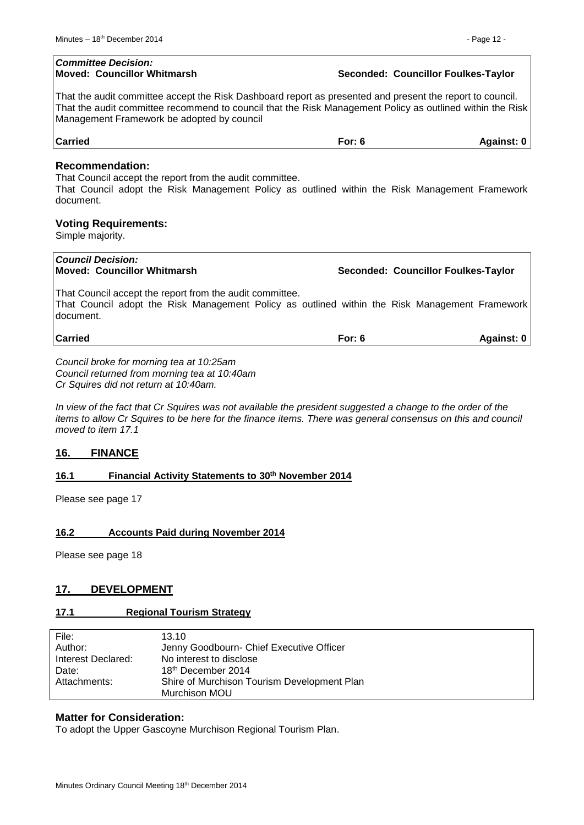| <b>Committee Decision:</b><br><b>Moved: Councillor Whitmarsh</b>                                                                                                                                                                                                     | Seconded: Councillor Foulkes-Taylor |            |
|----------------------------------------------------------------------------------------------------------------------------------------------------------------------------------------------------------------------------------------------------------------------|-------------------------------------|------------|
| That the audit committee accept the Risk Dashboard report as presented and present the report to council.<br>That the audit committee recommend to council that the Risk Management Policy as outlined within the Risk<br>Management Framework be adopted by council |                                     |            |
| <b>Carried</b>                                                                                                                                                                                                                                                       | For: $6$                            | Against: 0 |
| <b>Recommendation:</b><br>That Council accept the report from the audit committee.<br>That Council adopt the Risk Management Policy as outlined within the Risk Management Framework<br>document.<br><b>Voting Requirements:</b><br>Simple majority.                 |                                     |            |
| <b>Council Decision:</b><br>Moved: Councillor Whitmarsh                                                                                                                                                                                                              | Seconded: Councillor Foulkes-Taylor |            |
| That Council accept the report from the audit committee.<br>That Council adopt the Risk Management Policy as outlined within the Risk Management Framework<br>document.                                                                                              |                                     |            |
| <b>Carried</b>                                                                                                                                                                                                                                                       | For: $6$                            | Against: 0 |
| Council broke for morning tea at 10:25am                                                                                                                                                                                                                             |                                     |            |

*Council returned from morning tea at 10:40am Cr Squires did not return at 10:40am.*

*In view of the fact that Cr Squires was not available the president suggested a change to the order of the items to allow Cr Squires to be here for the finance items. There was general consensus on this and council moved to item 17.1*

#### <span id="page-11-0"></span>**16. FINANCE**

#### <span id="page-11-1"></span>**16.1 Financial Activity Statements to 30th November 2014**

Please see page 17

#### <span id="page-11-2"></span>**16.2 Accounts Paid during November 2014**

Please see page 18

#### <span id="page-11-3"></span>**17. DEVELOPMENT**

#### <span id="page-11-4"></span>**17.1 Regional Tourism Strategy**

| File:              | 13.10                                       |
|--------------------|---------------------------------------------|
| Author:            | Jenny Goodbourn- Chief Executive Officer    |
| Interest Declared: | No interest to disclose                     |
| Date:              | 18 <sup>th</sup> December 2014              |
| Attachments:       | Shire of Murchison Tourism Development Plan |
|                    | Murchison MOU                               |

#### **Matter for Consideration:**

To adopt the Upper Gascoyne Murchison Regional Tourism Plan.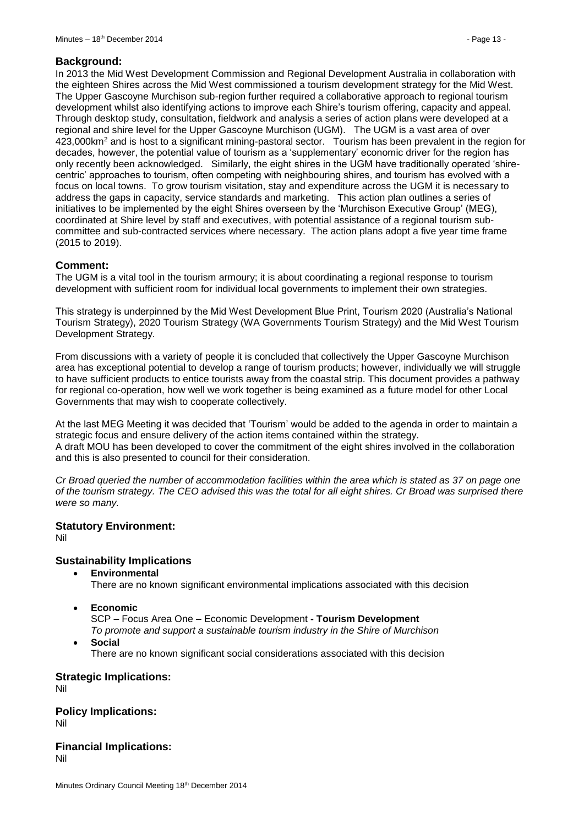#### **Background:**

In 2013 the Mid West Development Commission and Regional Development Australia in collaboration with the eighteen Shires across the Mid West commissioned a tourism development strategy for the Mid West. The Upper Gascoyne Murchison sub-region further required a collaborative approach to regional tourism development whilst also identifying actions to improve each Shire's tourism offering, capacity and appeal. Through desktop study, consultation, fieldwork and analysis a series of action plans were developed at a regional and shire level for the Upper Gascoyne Murchison (UGM). The UGM is a vast area of over 423,000km<sup>2</sup> and is host to a significant mining-pastoral sector. Tourism has been prevalent in the region for decades, however, the potential value of tourism as a 'supplementary' economic driver for the region has only recently been acknowledged. Similarly, the eight shires in the UGM have traditionally operated 'shirecentric' approaches to tourism, often competing with neighbouring shires, and tourism has evolved with a focus on local towns. To grow tourism visitation, stay and expenditure across the UGM it is necessary to address the gaps in capacity, service standards and marketing. This action plan outlines a series of initiatives to be implemented by the eight Shires overseen by the 'Murchison Executive Group' (MEG), coordinated at Shire level by staff and executives, with potential assistance of a regional tourism subcommittee and sub-contracted services where necessary. The action plans adopt a five year time frame (2015 to 2019).

## **Comment:**

The UGM is a vital tool in the tourism armoury; it is about coordinating a regional response to tourism development with sufficient room for individual local governments to implement their own strategies.

This strategy is underpinned by the Mid West Development Blue Print, Tourism 2020 (Australia's National Tourism Strategy), 2020 Tourism Strategy (WA Governments Tourism Strategy) and the Mid West Tourism Development Strategy.

From discussions with a variety of people it is concluded that collectively the Upper Gascoyne Murchison area has exceptional potential to develop a range of tourism products; however, individually we will struggle to have sufficient products to entice tourists away from the coastal strip. This document provides a pathway for regional co-operation, how well we work together is being examined as a future model for other Local Governments that may wish to cooperate collectively.

At the last MEG Meeting it was decided that 'Tourism' would be added to the agenda in order to maintain a strategic focus and ensure delivery of the action items contained within the strategy. A draft MOU has been developed to cover the commitment of the eight shires involved in the collaboration and this is also presented to council for their consideration.

*Cr Broad queried the number of accommodation facilities within the area which is stated as 37 on page one of the tourism strategy. The CEO advised this was the total for all eight shires. Cr Broad was surprised there were so many.*

#### **Statutory Environment:**

Nil

# **Sustainability Implications**

**Environmental**

There are no known significant environmental implications associated with this decision

**Economic** 

SCP – Focus Area One – Economic Development **- Tourism Development** 

*To promote and support a sustainable tourism industry in the Shire of Murchison* **Social**

There are no known significant social considerations associated with this decision

**Strategic Implications:** Nil

**Policy Implications:** Nil

**Financial Implications:** Nil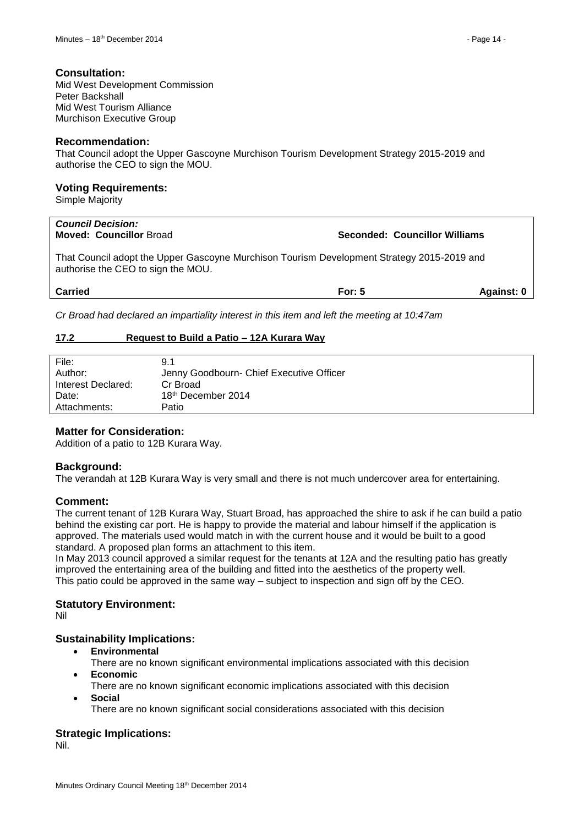#### **Consultation:**

Mid West Development Commission Peter Backshall Mid West Tourism Alliance Murchison Executive Group

#### **Recommendation:**

That Council adopt the Upper Gascoyne Murchison Tourism Development Strategy 2015-2019 and authorise the CEO to sign the MOU.

#### **Voting Requirements:**

Simple Majority

| <b>Council Decision:</b><br><b>Moved: Councillor Broad</b>                                                                       |          | Seconded: Councillor Williams |  |  |
|----------------------------------------------------------------------------------------------------------------------------------|----------|-------------------------------|--|--|
| That Council adopt the Upper Gascoyne Murchison Tourism Development Strategy 2015-2019 and<br>authorise the CEO to sign the MOU. |          |                               |  |  |
| <b>Carried</b>                                                                                                                   | For: $5$ | Against: 0                    |  |  |

*Cr Broad had declared an impartiality interest in this item and left the meeting at 10:47am*

#### <span id="page-13-0"></span>**17.2 Request to Build a Patio – 12A Kurara Way**

| File:              | 9.1                                      |
|--------------------|------------------------------------------|
| Author:            | Jenny Goodbourn- Chief Executive Officer |
| Interest Declared: | Cr Broad                                 |
| Date:              | 18 <sup>th</sup> December 2014           |
| Attachments:       | Patio                                    |
|                    |                                          |

#### **Matter for Consideration:**

Addition of a patio to 12B Kurara Way.

#### **Background:**

The verandah at 12B Kurara Way is very small and there is not much undercover area for entertaining.

#### **Comment:**

The current tenant of 12B Kurara Way, Stuart Broad, has approached the shire to ask if he can build a patio behind the existing car port. He is happy to provide the material and labour himself if the application is approved. The materials used would match in with the current house and it would be built to a good standard. A proposed plan forms an attachment to this item.

In May 2013 council approved a similar request for the tenants at 12A and the resulting patio has greatly improved the entertaining area of the building and fitted into the aesthetics of the property well. This patio could be approved in the same way – subject to inspection and sign off by the CEO.

#### **Statutory Environment:**

Nil

#### **Sustainability Implications:**

- **Environmental**
- There are no known significant environmental implications associated with this decision **Economic**
	- There are no known significant economic implications associated with this decision
- **Social**

There are no known significant social considerations associated with this decision

#### **Strategic Implications:**

Nil.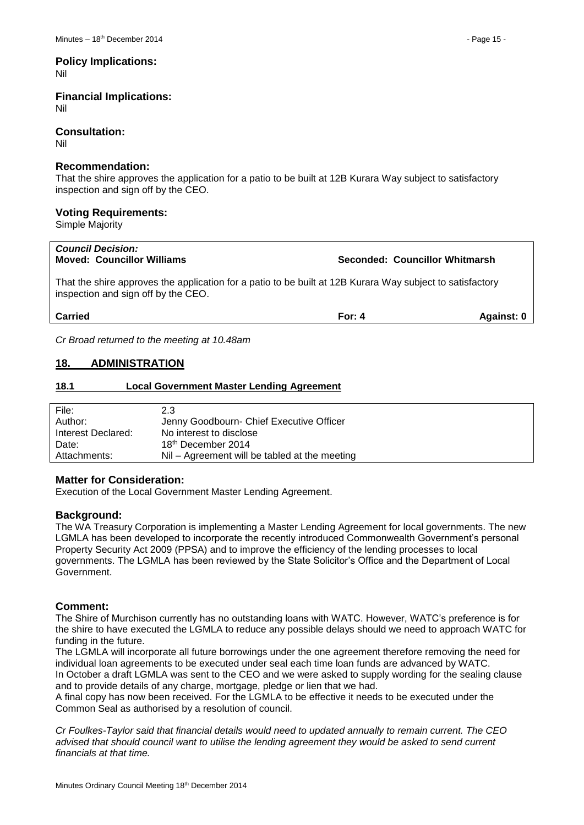# **Policy Implications:**

Nil

#### **Financial Implications:** Nil

#### **Consultation:**

Nil

#### **Recommendation:**

That the shire approves the application for a patio to be built at 12B Kurara Way subject to satisfactory inspection and sign off by the CEO.

## **Voting Requirements:**

Simple Majority

| <b>Council Decision:</b><br><b>Moved: Councillor Williams</b>                                                                                    | Seconded: Councillor Whitmarsh |            |
|--------------------------------------------------------------------------------------------------------------------------------------------------|--------------------------------|------------|
| That the shire approves the application for a patio to be built at 12B Kurara Way subject to satisfactory<br>inspection and sign off by the CEO. |                                |            |
| <b>Carried</b>                                                                                                                                   | For: $4$                       | Against: 0 |
|                                                                                                                                                  |                                |            |

*Cr Broad returned to the meeting at 10.48am*

# <span id="page-14-0"></span>**18. ADMINISTRATION**

#### <span id="page-14-1"></span>**18.1 Local Government Master Lending Agreement**

| File:              | 2.3                                           |
|--------------------|-----------------------------------------------|
| Author:            | Jenny Goodbourn- Chief Executive Officer      |
| Interest Declared: | No interest to disclose                       |
| Date:              | 18 <sup>th</sup> December 2014                |
| Attachments:       | Nil - Agreement will be tabled at the meeting |

#### **Matter for Consideration:**

Execution of the Local Government Master Lending Agreement.

#### **Background:**

The WA Treasury Corporation is implementing a Master Lending Agreement for local governments. The new LGMLA has been developed to incorporate the recently introduced Commonwealth Government's personal Property Security Act 2009 (PPSA) and to improve the efficiency of the lending processes to local governments. The LGMLA has been reviewed by the State Solicitor's Office and the Department of Local Government.

#### **Comment:**

The Shire of Murchison currently has no outstanding loans with WATC. However, WATC's preference is for the shire to have executed the LGMLA to reduce any possible delays should we need to approach WATC for funding in the future.

The LGMLA will incorporate all future borrowings under the one agreement therefore removing the need for individual loan agreements to be executed under seal each time loan funds are advanced by WATC. In October a draft LGMLA was sent to the CEO and we were asked to supply wording for the sealing clause and to provide details of any charge, mortgage, pledge or lien that we had.

A final copy has now been received. For the LGMLA to be effective it needs to be executed under the Common Seal as authorised by a resolution of council.

*Cr Foulkes-Taylor said that financial details would need to updated annually to remain current. The CEO advised that should council want to utilise the lending agreement they would be asked to send current financials at that time.*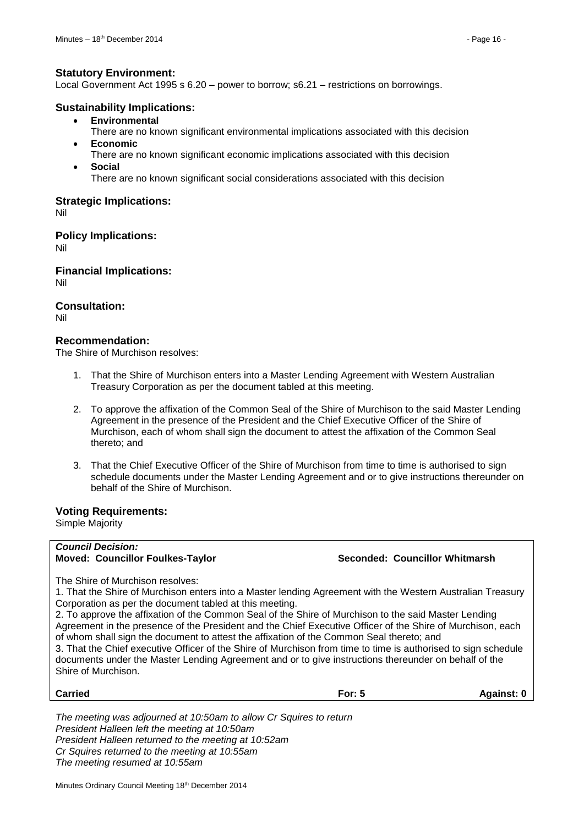#### **Statutory Environment:**

Local Government Act 1995 s 6.20 – power to borrow; s6.21 – restrictions on borrowings.

#### **Sustainability Implications:**

- **Environmental**
- There are no known significant environmental implications associated with this decision
- **Economic** 
	- There are no known significant economic implications associated with this decision
- **Social**
	- There are no known significant social considerations associated with this decision

### **Strategic Implications:**

Nil

**Policy Implications:**

Nil

**Financial Implications:** Nil

**Consultation:**

Nil

# **Recommendation:**

The Shire of Murchison resolves:

- 1. That the Shire of Murchison enters into a Master Lending Agreement with Western Australian Treasury Corporation as per the document tabled at this meeting.
- 2. To approve the affixation of the Common Seal of the Shire of Murchison to the said Master Lending Agreement in the presence of the President and the Chief Executive Officer of the Shire of Murchison, each of whom shall sign the document to attest the affixation of the Common Seal thereto; and
- 3. That the Chief Executive Officer of the Shire of Murchison from time to time is authorised to sign schedule documents under the Master Lending Agreement and or to give instructions thereunder on behalf of the Shire of Murchison.

#### **Voting Requirements:**

Simple Majority

#### *Council Decision:* **Moved: Councillor Foulkes-Taylor Seconded: Councillor Whitmarsh**

The Shire of Murchison resolves:

1. That the Shire of Murchison enters into a Master lending Agreement with the Western Australian Treasury Corporation as per the document tabled at this meeting.

2. To approve the affixation of the Common Seal of the Shire of Murchison to the said Master Lending Agreement in the presence of the President and the Chief Executive Officer of the Shire of Murchison, each of whom shall sign the document to attest the affixation of the Common Seal thereto; and

3. That the Chief executive Officer of the Shire of Murchison from time to time is authorised to sign schedule documents under the Master Lending Agreement and or to give instructions thereunder on behalf of the Shire of Murchison.

| <b>Carried</b> | <b>For: 5</b> | Against: 0 |
|----------------|---------------|------------|
|                |               |            |

*The meeting was adjourned at 10:50am to allow Cr Squires to return President Halleen left the meeting at 10:50am President Halleen returned to the meeting at 10:52am Cr Squires returned to the meeting at 10:55am The meeting resumed at 10:55am*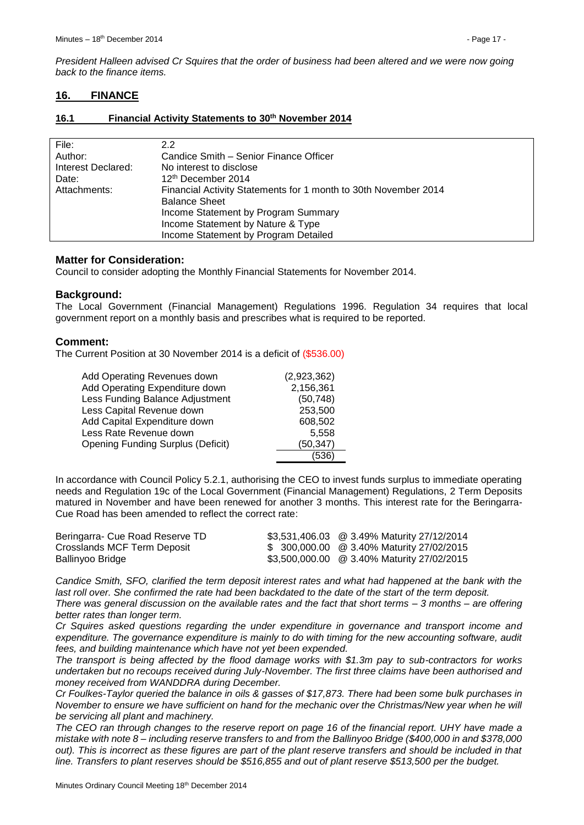*President Halleen advised Cr Squires that the order of business had been altered and we were now going back to the finance items.*

## <span id="page-16-0"></span>**16. FINANCE**

#### <span id="page-16-1"></span>**16.1 Financial Activity Statements to 30 th November 2014**

| File:              | 2.2                                                             |
|--------------------|-----------------------------------------------------------------|
| Author:            | Candice Smith - Senior Finance Officer                          |
| Interest Declared: | No interest to disclose                                         |
| Date:              | 12 <sup>th</sup> December 2014                                  |
| Attachments:       | Financial Activity Statements for 1 month to 30th November 2014 |
|                    | <b>Balance Sheet</b>                                            |
|                    | Income Statement by Program Summary                             |
|                    | Income Statement by Nature & Type                               |
|                    | Income Statement by Program Detailed                            |
|                    |                                                                 |

#### **Matter for Consideration:**

Council to consider adopting the Monthly Financial Statements for November 2014.

#### **Background:**

The Local Government (Financial Management) Regulations 1996. Regulation 34 requires that local government report on a monthly basis and prescribes what is required to be reported.

#### **Comment:**

The Current Position at 30 November 2014 is a deficit of (\$536.00)

| Add Operating Revenues down              | (2,923,362) |
|------------------------------------------|-------------|
| Add Operating Expenditure down           | 2,156,361   |
| Less Funding Balance Adjustment          | (50, 748)   |
| Less Capital Revenue down                | 253,500     |
| Add Capital Expenditure down             | 608,502     |
| Less Rate Revenue down                   | 5,558       |
| <b>Opening Funding Surplus (Deficit)</b> | (50, 347)   |
|                                          | (536        |

In accordance with Council Policy 5.2.1, authorising the CEO to invest funds surplus to immediate operating needs and Regulation 19c of the Local Government (Financial Management) Regulations, 2 Term Deposits matured in November and have been renewed for another 3 months. This interest rate for the Beringarra-Cue Road has been amended to reflect the correct rate:

| Beringarra- Cue Road Reserve TD | \$3,531,406.03 @ 3.49% Maturity 27/12/2014 |
|---------------------------------|--------------------------------------------|
| Crosslands MCF Term Deposit     | \$ 300,000.00 @ 3.40% Maturity 27/02/2015  |
| Ballinyoo Bridge                | \$3,500,000.00 @ 3.40% Maturity 27/02/2015 |

*Candice Smith, SFO, clarified the term deposit interest rates and what had happened at the bank with the last roll over. She confirmed the rate had been backdated to the date of the start of the term deposit. There was general discussion on the available rates and the fact that short terms – 3 months – are offering better rates than longer term.*

*Cr Squires asked questions regarding the under expenditure in governance and transport income and expenditure. The governance expenditure is mainly to do with timing for the new accounting software, audit fees, and building maintenance which have not yet been expended.*

*The transport is being affected by the flood damage works with \$1.3m pay to sub-contractors for works undertaken but no recoups received during July-November. The first three claims have been authorised and money received from WANDDRA during December.*

*Cr Foulkes-Taylor queried the balance in oils & gasses of \$17,873. There had been some bulk purchases in November to ensure we have sufficient on hand for the mechanic over the Christmas/New year when he will be servicing all plant and machinery.*

*The CEO ran through changes to the reserve report on page 16 of the financial report. UHY have made a mistake with note 8 – including reserve transfers to and from the Ballinyoo Bridge (\$400,000 in and \$378,000 out). This is incorrect as these figures are part of the plant reserve transfers and should be included in that line. Transfers to plant reserves should be \$516,855 and out of plant reserve \$513,500 per the budget.*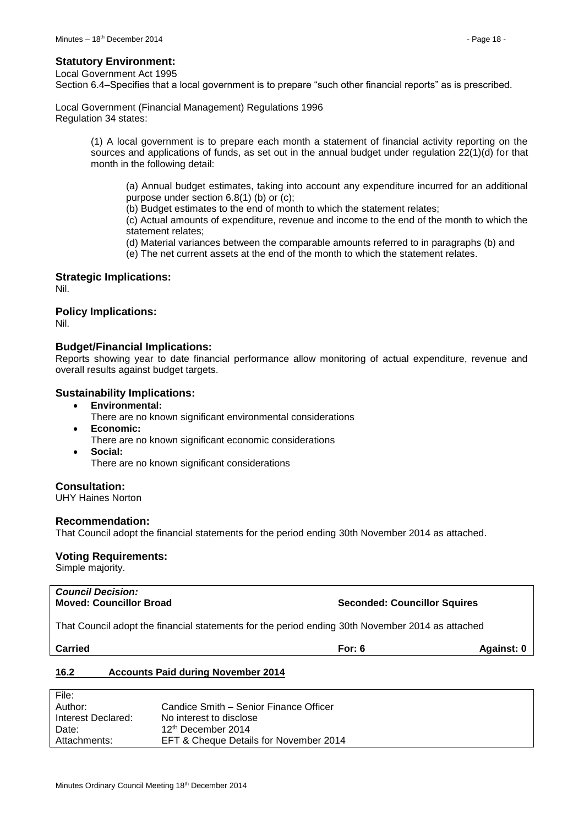#### **Statutory Environment:**

Local Government Act 1995

Section 6.4–Specifies that a local government is to prepare "such other financial reports" as is prescribed.

Local Government (Financial Management) Regulations 1996 Regulation 34 states:

> (1) A local government is to prepare each month a statement of financial activity reporting on the sources and applications of funds, as set out in the annual budget under regulation 22(1)(d) for that month in the following detail:

(a) Annual budget estimates, taking into account any expenditure incurred for an additional purpose under section 6.8(1) (b) or (c);

(b) Budget estimates to the end of month to which the statement relates;

(c) Actual amounts of expenditure, revenue and income to the end of the month to which the statement relates;

(d) Material variances between the comparable amounts referred to in paragraphs (b) and (e) The net current assets at the end of the month to which the statement relates.

#### **Strategic Implications:**

Nil.

#### **Policy Implications:**

Nil.

#### **Budget/Financial Implications:**

Reports showing year to date financial performance allow monitoring of actual expenditure, revenue and overall results against budget targets.

#### **Sustainability Implications:**

- **Environmental:**
	- There are no known significant environmental considerations
- **Economic:** There are no known significant economic considerations
- **Social:** There are no known significant considerations

#### **Consultation:**

UHY Haines Norton

#### **Recommendation:**

That Council adopt the financial statements for the period ending 30th November 2014 as attached.

#### **Voting Requirements:**

Simple majority.

# *Council Decision:*

**Moved: Councillor Broad Seconded: Councillor Squires**

That Council adopt the financial statements for the period ending 30th November 2014 as attached

**Carried For: 6 Against: 0**

#### <span id="page-17-0"></span>**16.2 Accounts Paid during November 2014**

| File:              |                                        |
|--------------------|----------------------------------------|
| Author:            | Candice Smith – Senior Finance Officer |
| Interest Declared: | No interest to disclose                |
| Date:              | 12 <sup>th</sup> December 2014         |
| Attachments:       | EFT & Cheque Details for November 2014 |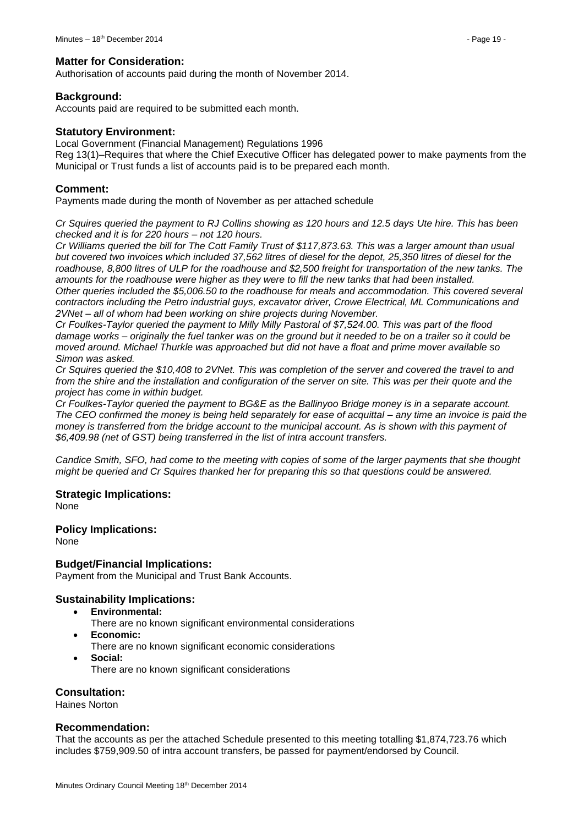### **Matter for Consideration:**

Authorisation of accounts paid during the month of November 2014.

## **Background:**

Accounts paid are required to be submitted each month.

#### **Statutory Environment:**

Local Government (Financial Management) Regulations 1996 Reg 13(1)–Requires that where the Chief Executive Officer has delegated power to make payments from the Municipal or Trust funds a list of accounts paid is to be prepared each month.

## **Comment:**

Payments made during the month of November as per attached schedule

*Cr Squires queried the payment to RJ Collins showing as 120 hours and 12.5 days Ute hire. This has been checked and it is for 220 hours – not 120 hours.*

*Cr Williams queried the bill for The Cott Family Trust of \$117,873.63. This was a larger amount than usual but covered two invoices which included 37,562 litres of diesel for the depot, 25,350 litres of diesel for the roadhouse, 8,800 litres of ULP for the roadhouse and \$2,500 freight for transportation of the new tanks. The amounts for the roadhouse were higher as they were to fill the new tanks that had been installed. Other queries included the \$5,006.50 to the roadhouse for meals and accommodation. This covered several* 

*contractors including the Petro industrial guys, excavator driver, Crowe Electrical, ML Communications and 2VNet – all of whom had been working on shire projects during November.*

*Cr Foulkes-Taylor queried the payment to Milly Milly Pastoral of \$7,524.00. This was part of the flood damage works – originally the fuel tanker was on the ground but it needed to be on a trailer so it could be moved around. Michael Thurkle was approached but did not have a float and prime mover available so Simon was asked.*

*Cr Squires queried the \$10,408 to 2VNet. This was completion of the server and covered the travel to and from the shire and the installation and configuration of the server on site. This was per their quote and the project has come in within budget.*

*Cr Foulkes-Taylor queried the payment to BG&E as the Ballinyoo Bridge money is in a separate account. The CEO confirmed the money is being held separately for ease of acquittal – any time an invoice is paid the money is transferred from the bridge account to the municipal account. As is shown with this payment of \$6,409.98 (net of GST) being transferred in the list of intra account transfers.*

*Candice Smith, SFO, had come to the meeting with copies of some of the larger payments that she thought might be queried and Cr Squires thanked her for preparing this so that questions could be answered.*

# **Strategic Implications:**

None

#### **Policy Implications:**

None

# **Budget/Financial Implications:**

Payment from the Municipal and Trust Bank Accounts.

#### **Sustainability Implications:**

- **Environmental:**
	- There are no known significant environmental considerations
- **Economic:** There are no known significant economic considerations
- **Social:** There are no known significant considerations

# **Consultation:**

Haines Norton

## **Recommendation:**

That the accounts as per the attached Schedule presented to this meeting totalling \$1,874,723.76 which includes \$759,909.50 of intra account transfers, be passed for payment/endorsed by Council.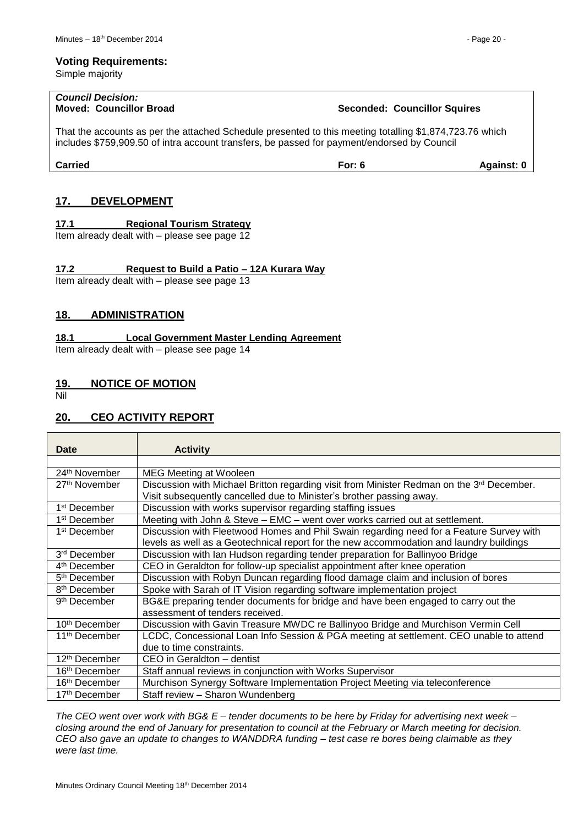Simple majority

# *Council Decision:*

**Moved: Councillor Broad Seconded: Councillor Squires**

That the accounts as per the attached Schedule presented to this meeting totalling \$1,874,723.76 which includes \$759,909.50 of intra account transfers, be passed for payment/endorsed by Council

**Carried For: 6 Against: 0**

# <span id="page-19-0"></span>**17. DEVELOPMENT**

# <span id="page-19-1"></span>**17.1 Regional Tourism Strategy**

Item already dealt with – please see page 12

# <span id="page-19-2"></span>**17.2 Request to Build a Patio – 12A Kurara Way**

Item already dealt with – please see page 13

# <span id="page-19-3"></span>**18. ADMINISTRATION**

## <span id="page-19-4"></span>**18.1 Local Government Master Lending Agreement**

Item already dealt with – please see page 14

# <span id="page-19-5"></span>**19. NOTICE OF MOTION**

Nil

# <span id="page-19-6"></span>**20. CEO ACTIVITY REPORT**

| Date                      | <b>Activity</b>                                                                           |
|---------------------------|-------------------------------------------------------------------------------------------|
|                           |                                                                                           |
| 24 <sup>th</sup> November | <b>MEG Meeting at Wooleen</b>                                                             |
| 27 <sup>th</sup> November | Discussion with Michael Britton regarding visit from Minister Redman on the 3rd December. |
|                           | Visit subsequently cancelled due to Minister's brother passing away.                      |
| 1 <sup>st</sup> December  | Discussion with works supervisor regarding staffing issues                                |
| 1 <sup>st</sup> December  | Meeting with John & Steve - EMC - went over works carried out at settlement.              |
| 1 <sup>st</sup> December  | Discussion with Fleetwood Homes and Phil Swain regarding need for a Feature Survey with   |
|                           | levels as well as a Geotechnical report for the new accommodation and laundry buildings   |
| 3rd December              | Discussion with Ian Hudson regarding tender preparation for Ballinyoo Bridge              |
| 4 <sup>th</sup> December  | CEO in Geraldton for follow-up specialist appointment after knee operation                |
| 5 <sup>th</sup> December  | Discussion with Robyn Duncan regarding flood damage claim and inclusion of bores          |
| 8 <sup>th</sup> December  | Spoke with Sarah of IT Vision regarding software implementation project                   |
| 9 <sup>th</sup> December  | BG&E preparing tender documents for bridge and have been engaged to carry out the         |
|                           | assessment of tenders received.                                                           |
| 10 <sup>th</sup> December | Discussion with Gavin Treasure MWDC re Ballinyoo Bridge and Murchison Vermin Cell         |
| 11 <sup>th</sup> December | LCDC, Concessional Loan Info Session & PGA meeting at settlement. CEO unable to attend    |
|                           | due to time constraints.                                                                  |
| 12 <sup>th</sup> December | CEO in Geraldton - dentist                                                                |
| 16 <sup>th</sup> December | Staff annual reviews in conjunction with Works Supervisor                                 |
| 16 <sup>th</sup> December | Murchison Synergy Software Implementation Project Meeting via teleconference              |
| 17 <sup>th</sup> December | Staff review - Sharon Wundenberg                                                          |

*The CEO went over work with BG& E – tender documents to be here by Friday for advertising next week – closing around the end of January for presentation to council at the February or March meeting for decision. CEO also gave an update to changes to WANDDRA funding – test case re bores being claimable as they were last time.*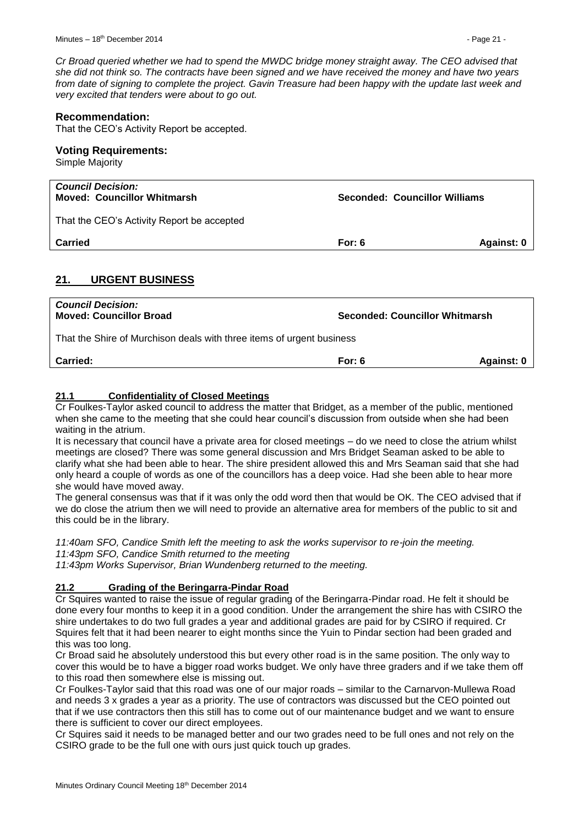**Moved: Councillor Whitmarsh Seconded: Councillor Williams**

*Cr Broad queried whether we had to spend the MWDC bridge money straight away. The CEO advised that she did not think so. The contracts have been signed and we have received the money and have two years from date of signing to complete the project. Gavin Treasure had been happy with the update last week and very excited that tenders were about to go out.*

## **Recommendation:**

That the CEO's Activity Report be accepted.

#### **Voting Requirements:**

| Simple Majority                                         |  |
|---------------------------------------------------------|--|
| Council Decision:<br><b>Moved: Councillor Whitmarsh</b> |  |

That the CEO's Activity Report be accepted

**Carried For: 6 Against: 0**

# <span id="page-20-0"></span>**21. URGENT BUSINESS**

| <b>Council Decision:</b><br><b>Moved: Councillor Broad</b>            | Seconded: Councillor Whitmarsh |            |  |
|-----------------------------------------------------------------------|--------------------------------|------------|--|
| That the Shire of Murchison deals with three items of urgent business |                                |            |  |
| <b>Carried:</b>                                                       | For: $6$                       | Against: 0 |  |

## <span id="page-20-1"></span>**21.1 Confidentiality of Closed Meetings**

Cr Foulkes-Taylor asked council to address the matter that Bridget, as a member of the public, mentioned when she came to the meeting that she could hear council's discussion from outside when she had been waiting in the atrium.

It is necessary that council have a private area for closed meetings – do we need to close the atrium whilst meetings are closed? There was some general discussion and Mrs Bridget Seaman asked to be able to clarify what she had been able to hear. The shire president allowed this and Mrs Seaman said that she had only heard a couple of words as one of the councillors has a deep voice. Had she been able to hear more she would have moved away.

The general consensus was that if it was only the odd word then that would be OK. The CEO advised that if we do close the atrium then we will need to provide an alternative area for members of the public to sit and this could be in the library.

*11:40am SFO, Candice Smith left the meeting to ask the works supervisor to re-join the meeting. 11:43pm SFO, Candice Smith returned to the meeting*

*11:43pm Works Supervisor, Brian Wundenberg returned to the meeting.*

#### <span id="page-20-2"></span>**21.2 Grading of the Beringarra-Pindar Road**

Cr Squires wanted to raise the issue of regular grading of the Beringarra-Pindar road. He felt it should be done every four months to keep it in a good condition. Under the arrangement the shire has with CSIRO the shire undertakes to do two full grades a year and additional grades are paid for by CSIRO if required. Cr Squires felt that it had been nearer to eight months since the Yuin to Pindar section had been graded and this was too long.

Cr Broad said he absolutely understood this but every other road is in the same position. The only way to cover this would be to have a bigger road works budget. We only have three graders and if we take them off to this road then somewhere else is missing out.

Cr Foulkes-Taylor said that this road was one of our major roads – similar to the Carnarvon-Mullewa Road and needs 3 x grades a year as a priority. The use of contractors was discussed but the CEO pointed out that if we use contractors then this still has to come out of our maintenance budget and we want to ensure there is sufficient to cover our direct employees.

Cr Squires said it needs to be managed better and our two grades need to be full ones and not rely on the CSIRO grade to be the full one with ours just quick touch up grades.